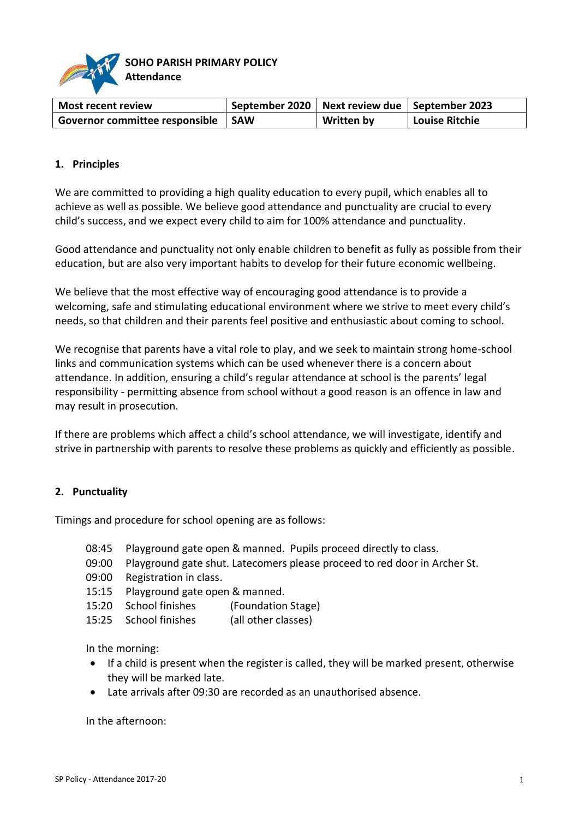

| <b>Most recent review</b>            | September 2020   Next review due   September 2023 |                   |                |
|--------------------------------------|---------------------------------------------------|-------------------|----------------|
| Governor committee responsible   SAW |                                                   | <b>Written by</b> | Louise Ritchie |

### **1. Principles**

We are committed to providing a high quality education to every pupil, which enables all to achieve as well as possible. We believe good attendance and punctuality are crucial to every child's success, and we expect every child to aim for 100% attendance and punctuality.

Good attendance and punctuality not only enable children to benefit as fully as possible from their education, but are also very important habits to develop for their future economic wellbeing.

We believe that the most effective way of encouraging good attendance is to provide a welcoming, safe and stimulating educational environment where we strive to meet every child's needs, so that children and their parents feel positive and enthusiastic about coming to school.

We recognise that parents have a vital role to play, and we seek to maintain strong home-school links and communication systems which can be used whenever there is a concern about attendance. In addition, ensuring a child's regular attendance at school is the parents' legal responsibility - permitting absence from school without a good reason is an offence in law and may result in prosecution.

If there are problems which affect a child's school attendance, we will investigate, identify and strive in partnership with parents to resolve these problems as quickly and efficiently as possible.

#### **2. Punctuality**

Timings and procedure for school opening are as follows:

- 08:45 Playground gate open & manned. Pupils proceed directly to class.
- 09:00 Playground gate shut. Latecomers please proceed to red door in Archer St.
- 09:00 Registration in class.
- 15:15 Playground gate open & manned.
- 15:20 School finishes (Foundation Stage)
- 15:25 School finishes (all other classes)

In the morning:

- If a child is present when the register is called, they will be marked present, otherwise they will be marked late.
- Late arrivals after 09:30 are recorded as an unauthorised absence.

In the afternoon: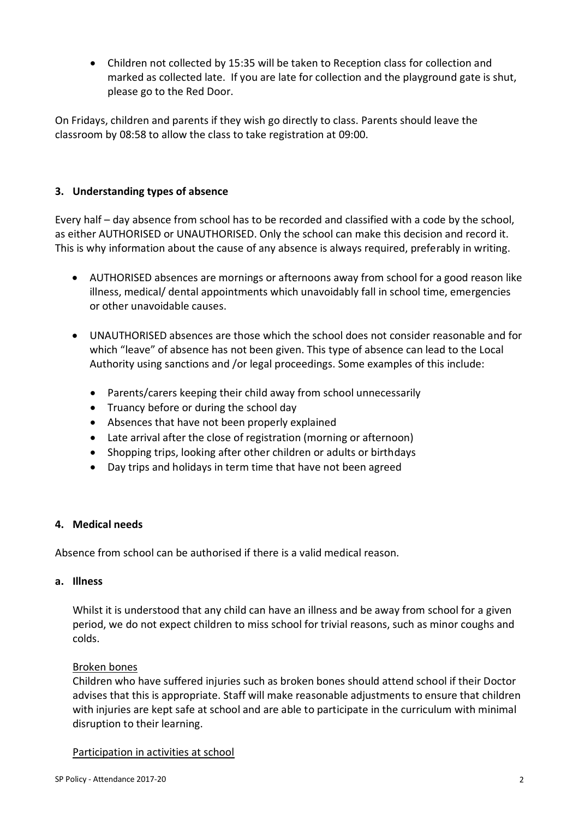Children not collected by 15:35 will be taken to Reception class for collection and marked as collected late. If you are late for collection and the playground gate is shut, please go to the Red Door.

On Fridays, children and parents if they wish go directly to class. Parents should leave the classroom by 08:58 to allow the class to take registration at 09:00.

# **3. Understanding types of absence**

Every half – day absence from school has to be recorded and classified with a code by the school, as either AUTHORISED or UNAUTHORISED. Only the school can make this decision and record it. This is why information about the cause of any absence is always required, preferably in writing.

- AUTHORISED absences are mornings or afternoons away from school for a good reason like illness, medical/ dental appointments which unavoidably fall in school time, emergencies or other unavoidable causes.
- UNAUTHORISED absences are those which the school does not consider reasonable and for which "leave" of absence has not been given. This type of absence can lead to the Local Authority using sanctions and /or legal proceedings. Some examples of this include:
	- Parents/carers keeping their child away from school unnecessarily
	- Truancy before or during the school day
	- Absences that have not been properly explained
	- Late arrival after the close of registration (morning or afternoon)
	- Shopping trips, looking after other children or adults or birthdays
	- Day trips and holidays in term time that have not been agreed

# **4. Medical needs**

Absence from school can be authorised if there is a valid medical reason.

#### **a. Illness**

Whilst it is understood that any child can have an illness and be away from school for a given period, we do not expect children to miss school for trivial reasons, such as minor coughs and colds.

#### Broken bones

Children who have suffered injuries such as broken bones should attend school if their Doctor advises that this is appropriate. Staff will make reasonable adjustments to ensure that children with injuries are kept safe at school and are able to participate in the curriculum with minimal disruption to their learning.

Participation in activities at school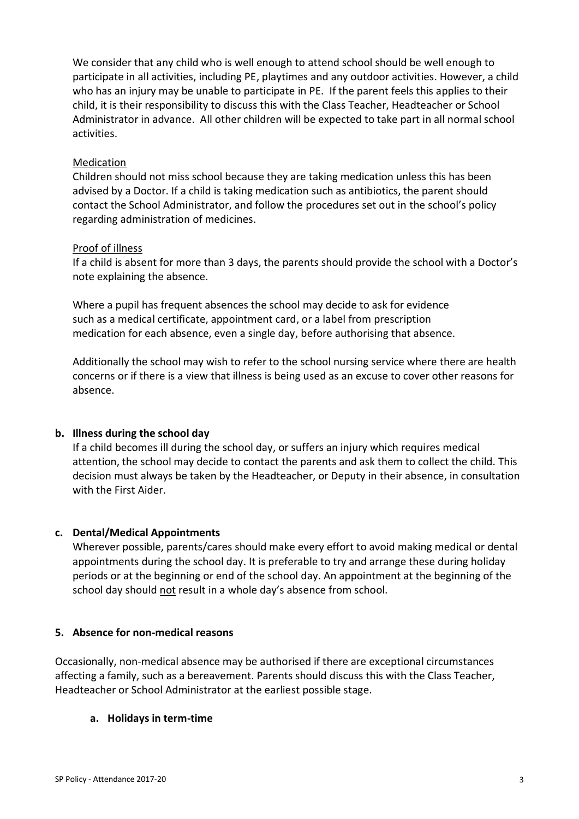We consider that any child who is well enough to attend school should be well enough to participate in all activities, including PE, playtimes and any outdoor activities. However, a child who has an injury may be unable to participate in PE. If the parent feels this applies to their child, it is their responsibility to discuss this with the Class Teacher, Headteacher or School Administrator in advance. All other children will be expected to take part in all normal school activities.

# Medication

Children should not miss school because they are taking medication unless this has been advised by a Doctor. If a child is taking medication such as antibiotics, the parent should contact the School Administrator, and follow the procedures set out in the school's policy regarding administration of medicines.

# Proof of illness

If a child is absent for more than 3 days, the parents should provide the school with a Doctor's note explaining the absence.

Where a pupil has frequent absences the school may decide to ask for evidence such as a medical certificate, appointment card, or a label from prescription medication for each absence, even a single day, before authorising that absence.

Additionally the school may wish to refer to the school nursing service where there are health concerns or if there is a view that illness is being used as an excuse to cover other reasons for absence.

# **b. Illness during the school day**

If a child becomes ill during the school day, or suffers an injury which requires medical attention, the school may decide to contact the parents and ask them to collect the child. This decision must always be taken by the Headteacher, or Deputy in their absence, in consultation with the First Aider.

# **c. Dental/Medical Appointments**

Wherever possible, parents/cares should make every effort to avoid making medical or dental appointments during the school day. It is preferable to try and arrange these during holiday periods or at the beginning or end of the school day. An appointment at the beginning of the school day should not result in a whole day's absence from school.

# **5. Absence for non-medical reasons**

Occasionally, non-medical absence may be authorised if there are exceptional circumstances affecting a family, such as a bereavement. Parents should discuss this with the Class Teacher, Headteacher or School Administrator at the earliest possible stage.

# **a. Holidays in term-time**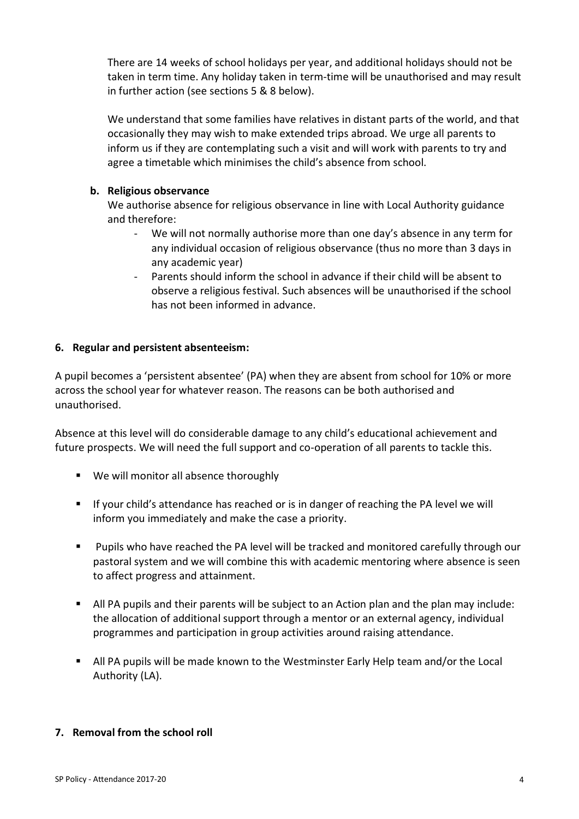There are 14 weeks of school holidays per year, and additional holidays should not be taken in term time. Any holiday taken in term-time will be unauthorised and may result in further action (see sections 5 & 8 below).

We understand that some families have relatives in distant parts of the world, and that occasionally they may wish to make extended trips abroad. We urge all parents to inform us if they are contemplating such a visit and will work with parents to try and agree a timetable which minimises the child's absence from school.

### **b. Religious observance**

We authorise absence for religious observance in line with Local Authority guidance and therefore:

- We will not normally authorise more than one day's absence in any term for any individual occasion of religious observance (thus no more than 3 days in any academic year)
- Parents should inform the school in advance if their child will be absent to observe a religious festival. Such absences will be unauthorised if the school has not been informed in advance.

# **6. Regular and persistent absenteeism:**

A pupil becomes a 'persistent absentee' (PA) when they are absent from school for 10% or more across the school year for whatever reason. The reasons can be both authorised and unauthorised.

Absence at this level will do considerable damage to any child's educational achievement and future prospects. We will need the full support and co-operation of all parents to tackle this.

- **We will monitor all absence thoroughly**
- **If your child's attendance has reached or is in danger of reaching the PA level we will** inform you immediately and make the case a priority.
- Pupils who have reached the PA level will be tracked and monitored carefully through our pastoral system and we will combine this with academic mentoring where absence is seen to affect progress and attainment.
- All PA pupils and their parents will be subject to an Action plan and the plan may include: the allocation of additional support through a mentor or an external agency, individual programmes and participation in group activities around raising attendance.
- All PA pupils will be made known to the Westminster Early Help team and/or the Local Authority (LA).

# **7. Removal from the school roll**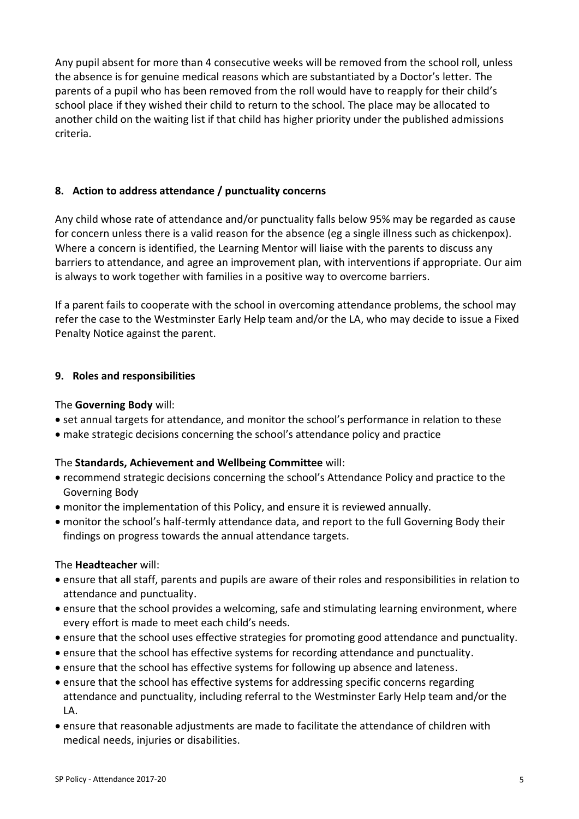Any pupil absent for more than 4 consecutive weeks will be removed from the school roll, unless the absence is for genuine medical reasons which are substantiated by a Doctor's letter. The parents of a pupil who has been removed from the roll would have to reapply for their child's school place if they wished their child to return to the school. The place may be allocated to another child on the waiting list if that child has higher priority under the published admissions criteria.

# **8. Action to address attendance / punctuality concerns**

Any child whose rate of attendance and/or punctuality falls below 95% may be regarded as cause for concern unless there is a valid reason for the absence (eg a single illness such as chickenpox). Where a concern is identified, the Learning Mentor will liaise with the parents to discuss any barriers to attendance, and agree an improvement plan, with interventions if appropriate. Our aim is always to work together with families in a positive way to overcome barriers.

If a parent fails to cooperate with the school in overcoming attendance problems, the school may refer the case to the Westminster Early Help team and/or the LA, who may decide to issue a Fixed Penalty Notice against the parent.

# **9. Roles and responsibilities**

### The **Governing Body** will:

- set annual targets for attendance, and monitor the school's performance in relation to these
- make strategic decisions concerning the school's attendance policy and practice

#### The **Standards, Achievement and Wellbeing Committee** will:

- recommend strategic decisions concerning the school's Attendance Policy and practice to the Governing Body
- monitor the implementation of this Policy, and ensure it is reviewed annually.
- monitor the school's half-termly attendance data, and report to the full Governing Body their findings on progress towards the annual attendance targets.

#### The **Headteacher** will:

- ensure that all staff, parents and pupils are aware of their roles and responsibilities in relation to attendance and punctuality.
- ensure that the school provides a welcoming, safe and stimulating learning environment, where every effort is made to meet each child's needs.
- ensure that the school uses effective strategies for promoting good attendance and punctuality.
- ensure that the school has effective systems for recording attendance and punctuality.
- ensure that the school has effective systems for following up absence and lateness.
- ensure that the school has effective systems for addressing specific concerns regarding attendance and punctuality, including referral to the Westminster Early Help team and/or the LA.
- ensure that reasonable adjustments are made to facilitate the attendance of children with medical needs, injuries or disabilities.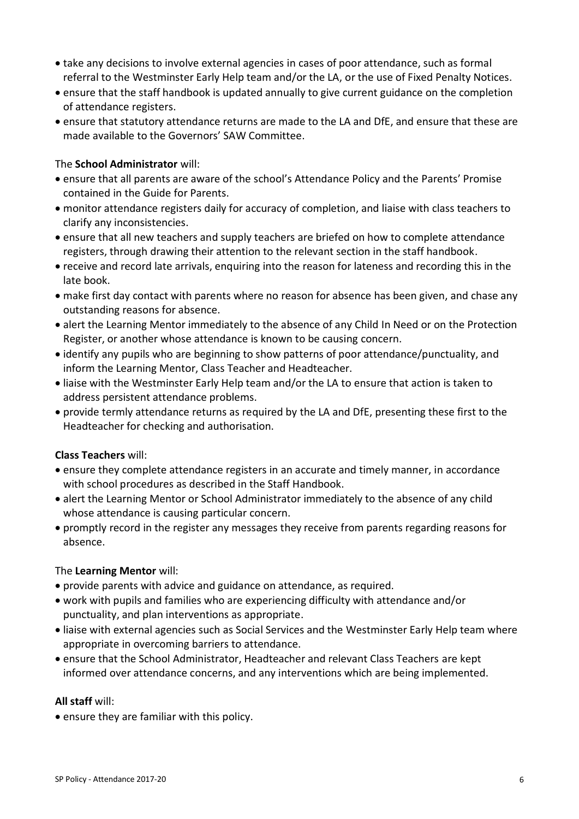- take any decisions to involve external agencies in cases of poor attendance, such as formal referral to the Westminster Early Help team and/or the LA, or the use of Fixed Penalty Notices.
- ensure that the staff handbook is updated annually to give current guidance on the completion of attendance registers.
- ensure that statutory attendance returns are made to the LA and DfE, and ensure that these are made available to the Governors' SAW Committee.

### The **School Administrator** will:

- ensure that all parents are aware of the school's Attendance Policy and the Parents' Promise contained in the Guide for Parents.
- monitor attendance registers daily for accuracy of completion, and liaise with class teachers to clarify any inconsistencies.
- ensure that all new teachers and supply teachers are briefed on how to complete attendance registers, through drawing their attention to the relevant section in the staff handbook.
- receive and record late arrivals, enquiring into the reason for lateness and recording this in the late book.
- make first day contact with parents where no reason for absence has been given, and chase any outstanding reasons for absence.
- alert the Learning Mentor immediately to the absence of any Child In Need or on the Protection Register, or another whose attendance is known to be causing concern.
- identify any pupils who are beginning to show patterns of poor attendance/punctuality, and inform the Learning Mentor, Class Teacher and Headteacher.
- liaise with the Westminster Early Help team and/or the LA to ensure that action is taken to address persistent attendance problems.
- provide termly attendance returns as required by the LA and DfE, presenting these first to the Headteacher for checking and authorisation.

#### **Class Teachers** will:

- ensure they complete attendance registers in an accurate and timely manner, in accordance with school procedures as described in the Staff Handbook.
- alert the Learning Mentor or School Administrator immediately to the absence of any child whose attendance is causing particular concern.
- promptly record in the register any messages they receive from parents regarding reasons for absence.

#### The **Learning Mentor** will:

- provide parents with advice and guidance on attendance, as required.
- work with pupils and families who are experiencing difficulty with attendance and/or punctuality, and plan interventions as appropriate.
- liaise with external agencies such as Social Services and the Westminster Early Help team where appropriate in overcoming barriers to attendance.
- ensure that the School Administrator, Headteacher and relevant Class Teachers are kept informed over attendance concerns, and any interventions which are being implemented.

#### **All staff** will:

ensure they are familiar with this policy.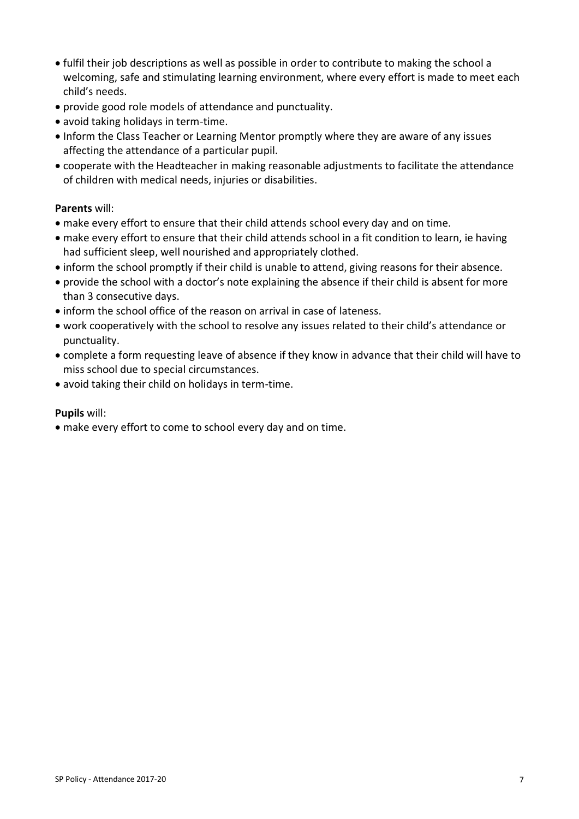- fulfil their job descriptions as well as possible in order to contribute to making the school a welcoming, safe and stimulating learning environment, where every effort is made to meet each child's needs.
- provide good role models of attendance and punctuality.
- avoid taking holidays in term-time.
- Inform the Class Teacher or Learning Mentor promptly where they are aware of any issues affecting the attendance of a particular pupil.
- cooperate with the Headteacher in making reasonable adjustments to facilitate the attendance of children with medical needs, injuries or disabilities.

# **Parents** will:

- make every effort to ensure that their child attends school every day and on time.
- make every effort to ensure that their child attends school in a fit condition to learn, ie having had sufficient sleep, well nourished and appropriately clothed.
- inform the school promptly if their child is unable to attend, giving reasons for their absence.
- provide the school with a doctor's note explaining the absence if their child is absent for more than 3 consecutive days.
- inform the school office of the reason on arrival in case of lateness.
- work cooperatively with the school to resolve any issues related to their child's attendance or punctuality.
- complete a form requesting leave of absence if they know in advance that their child will have to miss school due to special circumstances.
- avoid taking their child on holidays in term-time.

#### **Pupils** will:

make every effort to come to school every day and on time.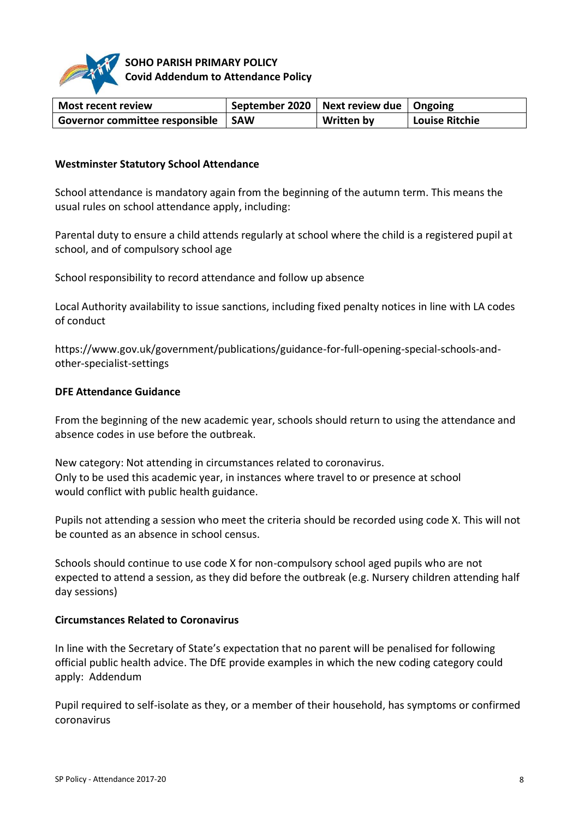

# **SOHO PARISH PRIMARY POLICY Covid Addendum to Attendance Policy**

| <b>Most recent review</b>            | September 2020   Next review due   Ongoing |                   |                |
|--------------------------------------|--------------------------------------------|-------------------|----------------|
| Governor committee responsible   SAW |                                            | <b>Written by</b> | Louise Ritchie |

### **Westminster Statutory School Attendance**

School attendance is mandatory again from the beginning of the autumn term. This means the usual rules on school attendance apply, including:

Parental duty to ensure a child attends regularly at school where the child is a registered pupil at school, and of compulsory school age

School responsibility to record attendance and follow up absence

Local Authority availability to issue sanctions, including fixed penalty notices in line with LA codes of conduct

https://www.gov.uk/government/publications/guidance-for-full-opening-special-schools-andother-specialist-settings

### **DFE Attendance Guidance**

From the beginning of the new academic year, schools should return to using the attendance and absence codes in use before the outbreak.

New category: Not attending in circumstances related to coronavirus. Only to be used this academic year, in instances where travel to or presence at school would conflict with public health guidance.

Pupils not attending a session who meet the criteria should be recorded using code X. This will not be counted as an absence in school census.

Schools should continue to use code X for non-compulsory school aged pupils who are not expected to attend a session, as they did before the outbreak (e.g. Nursery children attending half day sessions)

#### **Circumstances Related to Coronavirus**

In line with the Secretary of State's expectation that no parent will be penalised for following official public health advice. The DfE provide examples in which the new coding category could apply: Addendum

Pupil required to self-isolate as they, or a member of their household, has symptoms or confirmed coronavirus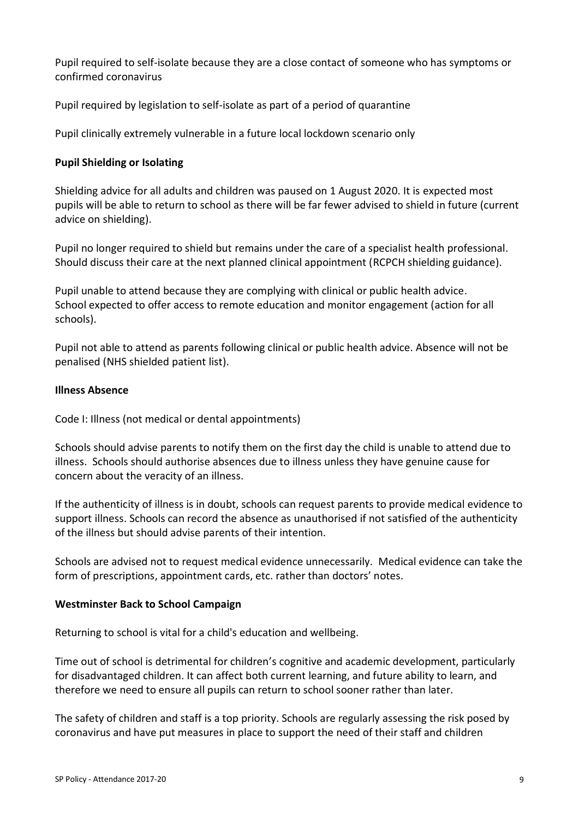Pupil required to self-isolate because they are a close contact of someone who has symptoms or confirmed coronavirus

Pupil required by legislation to self-isolate as part of a period of quarantine

Pupil clinically extremely vulnerable in a future local lockdown scenario only

### **Pupil Shielding or Isolating**

Shielding advice for all adults and children was paused on 1 August 2020. It is expected most pupils will be able to return to school as there will be far fewer advised to shield in future (current advice on shielding).

Pupil no longer required to shield but remains under the care of a specialist health professional. Should discuss their care at the next planned clinical appointment (RCPCH shielding guidance).

Pupil unable to attend because they are complying with clinical or public health advice. School expected to offer access to remote education and monitor engagement (action for all schools).

Pupil not able to attend as parents following clinical or public health advice. Absence will not be penalised (NHS shielded patient list).

#### **Illness Absence**

Code I: Illness (not medical or dental appointments)

Schools should advise parents to notify them on the first day the child is unable to attend due to illness. Schools should authorise absences due to illness unless they have genuine cause for concern about the veracity of an illness.

If the authenticity of illness is in doubt, schools can request parents to provide medical evidence to support illness. Schools can record the absence as unauthorised if not satisfied of the authenticity of the illness but should advise parents of their intention.

Schools are advised not to request medical evidence unnecessarily. Medical evidence can take the form of prescriptions, appointment cards, etc. rather than doctors' notes.

#### **Westminster Back to School Campaign**

Returning to school is vital for a child's education and wellbeing.

Time out of school is detrimental for children's cognitive and academic development, particularly for disadvantaged children. It can affect both current learning, and future ability to learn, and therefore we need to ensure all pupils can return to school sooner rather than later.

The safety of children and staff is a top priority. Schools are regularly assessing the risk posed by coronavirus and have put measures in place to support the need of their staff and children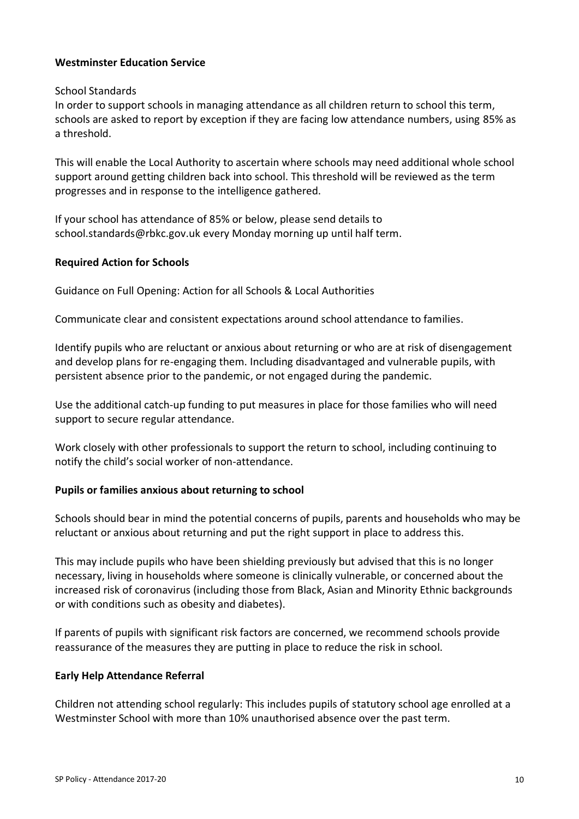### **Westminster Education Service**

#### School Standards

In order to support schools in managing attendance as all children return to school this term, schools are asked to report by exception if they are facing low attendance numbers, using 85% as a threshold.

This will enable the Local Authority to ascertain where schools may need additional whole school support around getting children back into school. This threshold will be reviewed as the term progresses and in response to the intelligence gathered.

If your school has attendance of 85% or below, please send details to school.standards@rbkc.gov.uk every Monday morning up until half term.

#### **Required Action for Schools**

Guidance on Full Opening: Action for all Schools & Local Authorities

Communicate clear and consistent expectations around school attendance to families.

Identify pupils who are reluctant or anxious about returning or who are at risk of disengagement and develop plans for re-engaging them. Including disadvantaged and vulnerable pupils, with persistent absence prior to the pandemic, or not engaged during the pandemic.

Use the additional catch-up funding to put measures in place for those families who will need support to secure regular attendance.

Work closely with other professionals to support the return to school, including continuing to notify the child's social worker of non-attendance.

#### **Pupils or families anxious about returning to school**

Schools should bear in mind the potential concerns of pupils, parents and households who may be reluctant or anxious about returning and put the right support in place to address this.

This may include pupils who have been shielding previously but advised that this is no longer necessary, living in households where someone is clinically vulnerable, or concerned about the increased risk of coronavirus (including those from Black, Asian and Minority Ethnic backgrounds or with conditions such as obesity and diabetes).

If parents of pupils with significant risk factors are concerned, we recommend schools provide reassurance of the measures they are putting in place to reduce the risk in school.

#### **Early Help Attendance Referral**

Children not attending school regularly: This includes pupils of statutory school age enrolled at a Westminster School with more than 10% unauthorised absence over the past term.